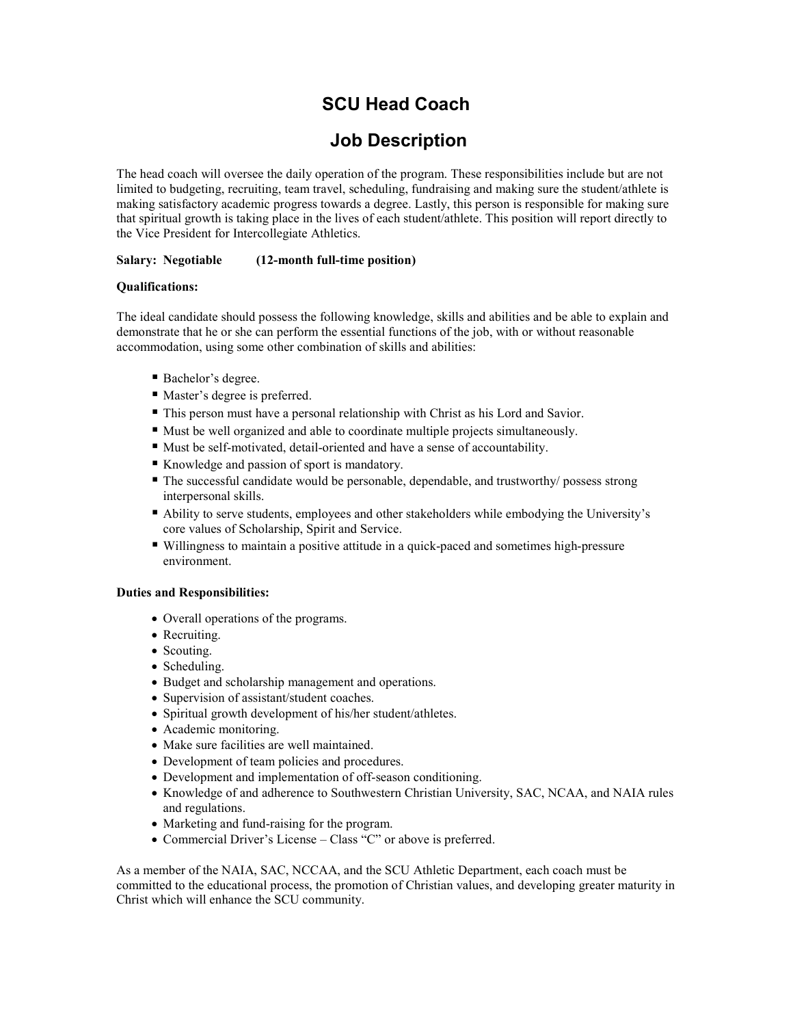# SCU Head Coach

## Job Description

The head coach will oversee the daily operation of the program. These responsibilities include but are not limited to budgeting, recruiting, team travel, scheduling, fundraising and making sure the student/athlete is making satisfactory academic progress towards a degree. Lastly, this person is responsible for making sure that spiritual growth is taking place in the lives of each student/athlete. This position will report directly to the Vice President for Intercollegiate Athletics.

### Salary: Negotiable (12-month full-time position)

### Qualifications:

The ideal candidate should possess the following knowledge, skills and abilities and be able to explain and demonstrate that he or she can perform the essential functions of the job, with or without reasonable accommodation, using some other combination of skills and abilities:

- Bachelor's degree.
- Master's degree is preferred.
- This person must have a personal relationship with Christ as his Lord and Savior.
- Must be well organized and able to coordinate multiple projects simultaneously.
- Must be self-motivated, detail-oriented and have a sense of accountability.
- Knowledge and passion of sport is mandatory.
- The successful candidate would be personable, dependable, and trustworthy/ possess strong interpersonal skills.
- Ability to serve students, employees and other stakeholders while embodying the University's core values of Scholarship, Spirit and Service.
- Willingness to maintain a positive attitude in a quick-paced and sometimes high-pressure environment.

### Duties and Responsibilities:

- Overall operations of the programs.
- Recruiting.
- Scouting.
- Scheduling.
- Budget and scholarship management and operations.
- Supervision of assistant/student coaches.
- Spiritual growth development of his/her student/athletes.
- Academic monitoring.
- Make sure facilities are well maintained.
- Development of team policies and procedures.
- Development and implementation of off-season conditioning.
- Knowledge of and adherence to Southwestern Christian University, SAC, NCAA, and NAIA rules and regulations.
- Marketing and fund-raising for the program.
- Commercial Driver's License Class "C" or above is preferred.

As a member of the NAIA, SAC, NCCAA, and the SCU Athletic Department, each coach must be committed to the educational process, the promotion of Christian values, and developing greater maturity in Christ which will enhance the SCU community.